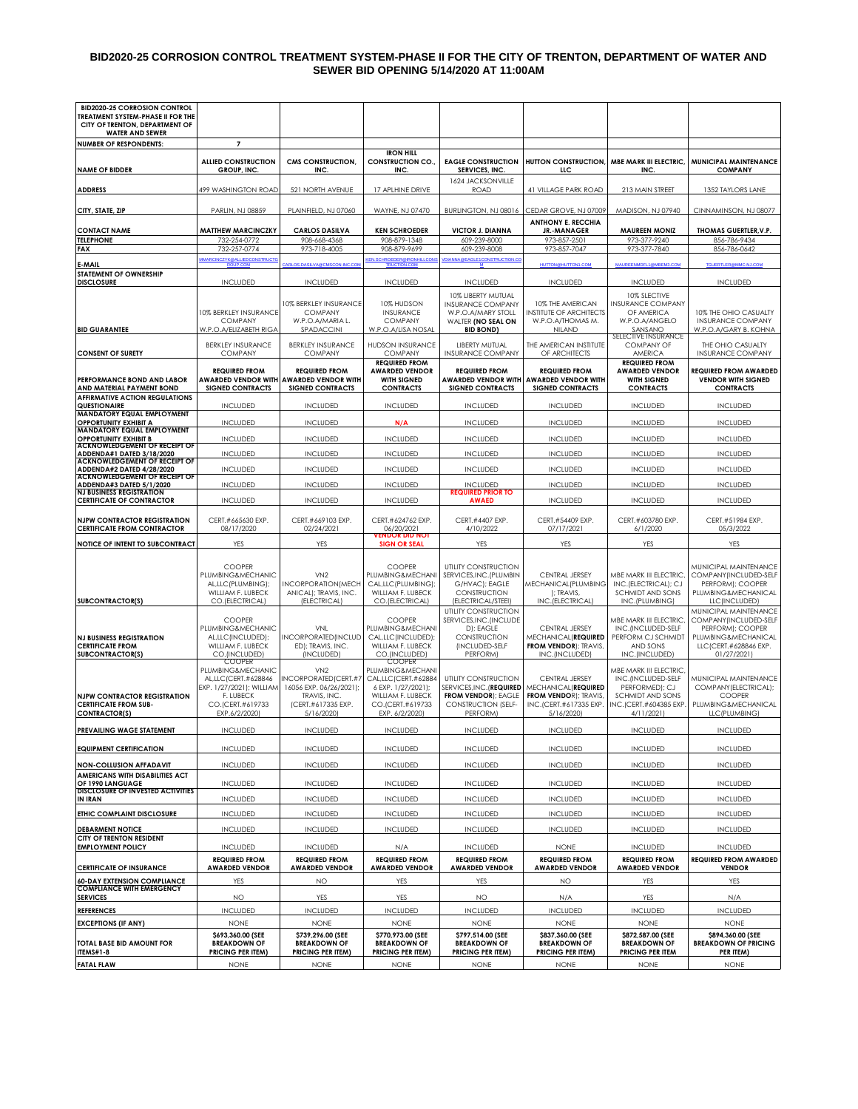#### **BID2020-25 CORROSION CONTROL TREATMENT SYSTEM-PHASE II FOR THE CITY OF TRENTON, DEPARTMENT OF WATER AND SEWER BID OPENING 5/14/2020 AT 11:00AM**

| <b>BID2020-25 CORROSION CONTROL</b><br>TREATMENT SYSTEM-PHASE II FOR THE<br>CITY OF TRENTON, DEPARTMENT OF |                                                                                                                                            |                                                                                                                         |                                                                                                                                           |                                                                                                                          |                                                                                                                      |                                                                                                                           |                                                                                                                                    |
|------------------------------------------------------------------------------------------------------------|--------------------------------------------------------------------------------------------------------------------------------------------|-------------------------------------------------------------------------------------------------------------------------|-------------------------------------------------------------------------------------------------------------------------------------------|--------------------------------------------------------------------------------------------------------------------------|----------------------------------------------------------------------------------------------------------------------|---------------------------------------------------------------------------------------------------------------------------|------------------------------------------------------------------------------------------------------------------------------------|
| <b>WATER AND SEWER</b>                                                                                     |                                                                                                                                            |                                                                                                                         |                                                                                                                                           |                                                                                                                          |                                                                                                                      |                                                                                                                           |                                                                                                                                    |
| <b>NUMBER OF RESPONDENTS:</b><br><b>NAME OF BIDDER</b>                                                     | $\overline{7}$<br><b>ALLIED CONSTRUCTION</b><br>GROUP, INC.                                                                                | CMS CONSTRUCTION,<br>INC.                                                                                               | <b>IRON HILL</b><br><b>CONSTRUCTION CO.,</b><br>INC.                                                                                      | <b>EAGLE CONSTRUCTION</b><br>SERVICES, INC.                                                                              | HUTTON CONSTRUCTION,<br>LLC                                                                                          | MBE MARK III ELECTRIC,<br>INC.                                                                                            | MUNICIPAL MAINTENANCE<br><b>COMPANY</b>                                                                                            |
| <b>ADDRESS</b>                                                                                             | 499 WASHINGTON ROAD                                                                                                                        | 521 NORTH AVENUE                                                                                                        | 17 APLHINE DRIVE                                                                                                                          | 1624 JACKSONVILLE<br>ROAD                                                                                                | 41 VILLAGE PARK ROAD                                                                                                 | 213 MAIN STREET                                                                                                           | 1352 TAYLORS LANE                                                                                                                  |
| CITY, STATE, ZIP                                                                                           | PARLIN, NJ 08859                                                                                                                           | PLAINFIELD, NJ 07060                                                                                                    | WAYNE, NJ 07470                                                                                                                           | BURLINGTON, NJ 08016                                                                                                     | CEDAR GROVE, NJ 07009                                                                                                | MADISON, NJ 07940                                                                                                         | CINNAMINSON, NJ 08077                                                                                                              |
| <b>CONTACT NAME</b>                                                                                        | <b>MATTHEW MARCINCZKY</b>                                                                                                                  | <b>CARLOS DASILVA</b>                                                                                                   | <b>KEN SCHROEDER</b>                                                                                                                      | <b>VICTOR J. DIANNA</b>                                                                                                  | <b>ANTHONY E. RECCHIA</b><br>JR.-MANAGER                                                                             | <b>MAUREEN MONIZ</b>                                                                                                      | THOMAS GUERTLER, V.P.                                                                                                              |
| <b>TELEPHONE</b>                                                                                           | 732-254-0772                                                                                                                               | 908-668-4368                                                                                                            | 908-879-1348                                                                                                                              | 609-239-8000                                                                                                             | 973-857-2501                                                                                                         | 973-377-9240                                                                                                              | 856-786-9434                                                                                                                       |
| <b>FAX</b>                                                                                                 | 732-257-0774                                                                                                                               | 973-718-4005                                                                                                            | 908-879-9699                                                                                                                              | 609-239-8008                                                                                                             | 973-857-7047                                                                                                         | 973-377-7840                                                                                                              | 856-786-0642                                                                                                                       |
| E-MAIL                                                                                                     | <b>YK@ALLIEDCONSTRUC</b><br>ROUP.COM                                                                                                       | ARLOS.DASILVA@CMSCON-INC.COM                                                                                            | <b>EN.SCHROEDER@IRONHILL</b><br><b>TRUCTION.COM</b>                                                                                       | <b>REAGLE1CONSTRUCTION.C</b><br>м                                                                                        | <b>HUTTON@HUTTON1.COM</b>                                                                                            | MAUREENMDFL1@MBEM3.COM                                                                                                    | <b>TGUERTLER@MMC-NJ.COM</b>                                                                                                        |
| STATEMENT OF OWNERSHIP                                                                                     |                                                                                                                                            |                                                                                                                         |                                                                                                                                           |                                                                                                                          |                                                                                                                      |                                                                                                                           |                                                                                                                                    |
| <b>DISCLOSURE</b>                                                                                          | <b>INCLUDED</b>                                                                                                                            | <b>INCLUDED</b>                                                                                                         | <b>INCLUDED</b>                                                                                                                           | <b>INCLUDED</b>                                                                                                          | <b>INCLUDED</b>                                                                                                      | <b>INCLUDED</b>                                                                                                           | <b>INCLUDED</b>                                                                                                                    |
| <b>BID GUARANTEE</b>                                                                                       | 10% BERKLEY INSURANCE<br><b>COMPANY</b><br>W.P.O.A/ELIZABETH RIGA                                                                          | 10% BERKLEY INSURANCE<br><b>COMPANY</b><br>W.P.O.A/MARIA L.<br>SPADACCINI                                               | 10% HUDSON<br><b>INSURANCE</b><br><b>COMPANY</b><br>W.P.O.A/LISA NOSAL                                                                    | 10% LIBERTY MUTUAL<br><b>INSURANCE COMPANY</b><br>W.P.O.A/MARY STOLL<br>WALTER (NO SEAL ON<br><b>BID BOND)</b>           | 10% THE AMERICAN<br><b>INSTITUTE OF ARCHITECTS</b><br>W.P.O.A/THOMAS M.<br>NILAND                                    | 10% SLECTIVE<br><b>INSURANCE COMPANY</b><br>OF AMERICA<br>W.P.O.A/ANGELO<br>SANSANO                                       | 10% THE OHIO CASUALTY<br><b>INSURANCE COMPANY</b><br>W.P.O.A/GARY B. KOHNA                                                         |
| <b>CONSENT OF SURETY</b>                                                                                   | <b>BERKLEY INSURANCE</b><br><b>COMPANY</b>                                                                                                 | <b>BERKLEY INSURANCE</b><br><b>COMPANY</b>                                                                              | <b>HUDSON INSURANCE</b><br><b>COMPANY</b>                                                                                                 | LIBERTY MUTUAL<br><b>INSURANCE COMPANY</b>                                                                               | THE AMERICAN INSTITUTE<br>OF ARCHITECTS                                                                              | SELECTIVE INSURANCE<br><b>COMPANY OF</b><br><b>AMERICA</b>                                                                | THE OHIO CASUALTY<br><b>INSURANCE COMPANY</b>                                                                                      |
| PERFORMANCE BOND AND LABOR                                                                                 | <b>REQUIRED FROM</b>                                                                                                                       | <b>REQUIRED FROM</b><br><b>AWARDED VENDOR WITH AWARDED VENDOR WITH</b>                                                  | <b>REQUIRED FROM</b><br><b>AWARDED VENDOR</b><br><b>WITH SIGNED</b>                                                                       | <b>REQUIRED FROM</b><br><b>AWARDED VENDOR WITH</b>                                                                       | <b>REQUIRED FROM</b><br><b>AWARDED VENDOR WITH</b>                                                                   | <b>REQUIRED FROM</b><br><b>AWARDED VENDOR</b><br><b>WITH SIGNED</b>                                                       | <b>REQUIRED FROM AWARDED</b><br><b>VENDOR WITH SIGNED</b>                                                                          |
| AND MATERIAL PAYMENT BOND<br><b>AFFIRMATIVE ACTION REGULATIONS</b>                                         | <b>SIGNED CONTRACTS</b>                                                                                                                    | <b>SIGNED CONTRACTS</b>                                                                                                 | <b>CONTRACTS</b>                                                                                                                          | <b>SIGNED CONTRACTS</b>                                                                                                  | <b>SIGNED CONTRACTS</b>                                                                                              | <b>CONTRACTS</b>                                                                                                          | <b>CONTRACTS</b>                                                                                                                   |
| QUESTIONAIRE<br><b>MANDATORY EQUAL EMPLOYMENT</b>                                                          | <b>INCLUDED</b>                                                                                                                            | <b>INCLUDED</b>                                                                                                         | <b>INCLUDED</b>                                                                                                                           | <b>INCLUDED</b>                                                                                                          | <b>INCLUDED</b>                                                                                                      | <b>INCLUDED</b>                                                                                                           | <b>INCLUDED</b>                                                                                                                    |
| <b>OPPORTUNITY EXHIBIT A</b><br><b>MANDATORY EQUAL EMPLOYMENT</b>                                          | <b>INCLUDED</b>                                                                                                                            | <b>INCLUDED</b>                                                                                                         | N/A                                                                                                                                       | <b>INCLUDED</b><br><b>INCLUDED</b>                                                                                       | <b>INCLUDED</b>                                                                                                      | <b>INCLUDED</b>                                                                                                           | <b>INCLUDED</b>                                                                                                                    |
| <b>OPPORTUNITY EXHIBIT B</b><br><b>ACKNOWLEDGEMENT OF RECEIPT OF</b><br>ADDENDA#1 DATED 3/18/2020          | <b>INCLUDED</b><br><b>INCLUDED</b>                                                                                                         | <b>INCLUDED</b><br><b>INCLUDED</b>                                                                                      | <b>INCLUDED</b><br><b>INCLUDED</b>                                                                                                        | <b>INCLUDED</b>                                                                                                          | <b>INCLUDED</b><br><b>INCLUDED</b>                                                                                   | <b>INCLUDED</b><br><b>INCLUDED</b>                                                                                        | <b>INCLUDED</b><br><b>INCLUDED</b>                                                                                                 |
| <b>ACKNOWLEDGEMENT OF RECEIPT OF</b><br>ADDENDA#2 DATED 4/28/2020                                          | <b>INCLUDED</b>                                                                                                                            | <b>INCLUDED</b>                                                                                                         | <b>INCLUDED</b>                                                                                                                           | <b>INCLUDED</b>                                                                                                          | <b>INCLUDED</b>                                                                                                      | <b>INCLUDED</b>                                                                                                           | <b>INCLUDED</b>                                                                                                                    |
| <b>ACKNOWLEDGEMENT OF RECEIPT OF</b>                                                                       |                                                                                                                                            |                                                                                                                         |                                                                                                                                           |                                                                                                                          |                                                                                                                      |                                                                                                                           |                                                                                                                                    |
| ADDENDA#3 DATED 5/1/2020<br><b>NJ BUSINESS REGISTRATION</b>                                                | <b>INCLUDED</b>                                                                                                                            | <b>INCLUDED</b>                                                                                                         | <b>INCLUDED</b>                                                                                                                           | <b>INCLUDED</b><br><b>REQUIRED PRIOR TO</b>                                                                              | <b>INCLUDED</b>                                                                                                      | <b>INCLUDED</b>                                                                                                           | <b>INCLUDED</b>                                                                                                                    |
| <b>CERTIFICATE OF CONTRACTOR</b>                                                                           | <b>INCLUDED</b>                                                                                                                            | <b>INCLUDED</b>                                                                                                         | <b>INCLUDED</b>                                                                                                                           | <b>AWAED</b>                                                                                                             | <b>INCLUDED</b>                                                                                                      | <b>INCLUDED</b>                                                                                                           | <b>INCLUDED</b>                                                                                                                    |
| <b>NJPW CONTRACTOR REGISTRATION</b><br><b>CERTIFICATE FROM CONTRACTOR</b>                                  | CERT.#665630 EXP.<br>08/17/2020                                                                                                            | CERT.#669103 EXP.<br>02/24/2021                                                                                         | CERT.#624762 EXP.<br>06/20/2021<br><b>VENDOR DID NOT</b>                                                                                  | CERT.#4407 EXP.<br>4/10/2022                                                                                             | CERT.#54409 EXP.<br>07/17/2021                                                                                       | CERT.#603780 EXP.<br>6/1/2020                                                                                             | CERT.#51984 EXP.<br>05/3/2022                                                                                                      |
|                                                                                                            |                                                                                                                                            |                                                                                                                         |                                                                                                                                           |                                                                                                                          |                                                                                                                      |                                                                                                                           |                                                                                                                                    |
| NOTICE OF INTENT TO SUBCONTRACT                                                                            | YES                                                                                                                                        | YES                                                                                                                     | <b>SIGN OR SEAL</b>                                                                                                                       | YES                                                                                                                      | <b>YES</b>                                                                                                           | YES                                                                                                                       | YES                                                                                                                                |
| <b>SUBCONTRACTOR(S)</b>                                                                                    | <b>COOPER</b><br>PLUMBING&MECHANIC<br>AL,LLC(PLUMBING);<br>WILLIAM F. LUBECK<br>CO.(ELECTRICAL)                                            | VN <sub>2</sub><br>INCORPORATION (MECH<br>ANICAL); TRAVIS, INC.<br>(ELECTRICAL)                                         | <b>COOPER</b><br>PLUMBING&MECHANI<br>CAL,LLC (PLUMBING);<br>WILLIAM F. LUBECK<br>CO.(ELECTRICAL)                                          | UTILITY CONSTRUCTION<br>SERVICES, INC. (PLUMBIN<br>G/HVAC); EAGLE<br>CONSTRUCTION<br>(ELECTRICAL/STEEI)                  | CENTRAL JERSEY<br>MECHANICAL(PLUMBING<br>); TRAVIS,<br>INC.(ELECTRICAL)                                              | MBE MARK III ELECTRIC,<br>INC.(ELECTRICAL); CJ<br><b>SCHMIDT AND SONS</b><br>INC.(PLUMBING)                               | MUNICIPAL MAINTENANCE<br>COMPANY(INCLUDED-SELF<br>PERFORM); COOPER<br>PLUMBING&MECHANICAL<br>LLC(INCLUDED)                         |
| <b>NJ BUSINESS REGISTRATION</b><br><b>CERTIFICATE FROM</b><br><b>SUBCONTRACTOR(S)</b>                      | <b>COOPER</b><br>PLUMBING&MECHANIC<br>AL,LLC(INCLUDED);<br>WILLIAM F. LUBECK<br>CO.(INCLUDED)                                              | <b>VNL</b><br>INCORPORATED (INCLUD<br>ED); TRAVIS, INC.<br>(INCLUDED)                                                   | <b>COOPER</b><br>PLUMBING&MECHANI<br>CAL.LLC (INCLUDED):<br>WILLIAM F. LUBECK<br>CO.(INCLUDED)                                            | UTILITY CONSTRUCTION<br>SERVICES, INC. (INCLUDE<br>D); EAGLE<br><b>CONSTRUCTION</b><br>(INCLUDED-SELF<br>PERFORM)        | CENTRAL JERSEY<br>MECHANICAL(REQUIRED<br><b>FROM VENDOR); TRAVIS,</b><br>INC.(INCLUDED)                              | MBE MARK III ELECTRIC,<br>INC.(INCLUDED-SELF<br>PERFORM CJ SCHMIDT<br>AND SONS<br>INC.(INCLUDED)                          | MUNICIPAL MAINTENANCE<br>COMPANY(INCLUDED-SELF<br>PERFORM); COOPER<br>PLUMBING&MECHANICAL<br>LLC (CERT.#628846 EXP.<br>01/27/2021) |
| <b>NJPW CONTRACTOR REGISTRATION</b><br><b>CERTIFICATE FROM SUB-</b><br>CONTRACTOR(S)                       | <b>COOPER</b><br>PLUMBING&MECHANIC<br>AL, LLC (CERT. #628846<br>EXP. 1/27/2021); WILLIAM<br>F. LUBECK<br>CO.(CERT.#619733<br>EXP.6/2/2020) | VN <sub>2</sub><br>INCORPORATED (CERT.#7<br>16056 EXP. 06/26/2021);<br>TRAVIS, INC.<br>(CERT.#617335 EXP.<br>5/16/2020) | <b>COOPER</b><br>PLUMBING&MECHANI<br>CAL,LLC(CERT.#62884<br>6 EXP. 1/27/2021);<br>WILLIAM F. LUBECK<br>CO.(CERT.#619733<br>EXP. 6/2/2020) | UTILITY CONSTRUCTION<br>SERVICES, INC. (REQUIRED<br><b>FROM VENDOR); EAGLE</b><br><b>CONSTRUCTION (SELF-</b><br>PERFORM) | <b>CENTRAL JERSEY</b><br>MECHANICAL(REQUIRED<br><b>FROM VENDOR); TRAVIS,</b><br>INC.(CERT.#617335 EXP.<br>5/16/2020) | MBE MARK III ELECTRIC,<br>INC.(INCLUDED-SELF<br>PERFORMED); CJ<br>SCHMIDT AND SONS<br>INC.(CERT.#604385 EXP<br>4/11/2021) | MUNICIPAL MAINTENANCE<br>COMPANY(ELECTRICAL);<br><b>COOPER</b><br>PLUMBING&MECHANICAL<br>LLC(PLUMBING)                             |
| PREVAILING WAGE STATEMENT                                                                                  | <b>INCLUDED</b>                                                                                                                            | <b>INCLUDED</b>                                                                                                         | <b>INCLUDED</b>                                                                                                                           | <b>INCLUDED</b>                                                                                                          | <b>INCLUDED</b>                                                                                                      | <b>INCLUDED</b>                                                                                                           | <b>INCLUDED</b>                                                                                                                    |
| <b>EQUIPMENT CERTIFICATION</b>                                                                             | <b>INCLUDED</b>                                                                                                                            | <b>INCLUDED</b>                                                                                                         | <b>INCLUDED</b>                                                                                                                           | <b>INCLUDED</b>                                                                                                          | <b>INCLUDED</b>                                                                                                      | <b>INCLUDED</b>                                                                                                           | <b>INCLUDED</b>                                                                                                                    |
| <b>NON-COLLUSION AFFADAVIT</b>                                                                             | <b>INCLUDED</b>                                                                                                                            | <b>INCLUDED</b>                                                                                                         | <b>INCLUDED</b>                                                                                                                           | <b>INCLUDED</b>                                                                                                          | <b>INCLUDED</b>                                                                                                      | <b>INCLUDED</b>                                                                                                           | <b>INCLUDED</b>                                                                                                                    |
| AMERICANS WITH DISABILITIES ACT<br>OF 1990 LANGUAGE<br><b>DISCLOSURE OF INVESTED ACTIVITIES</b>            | <b>INCLUDED</b>                                                                                                                            | <b>INCLUDED</b>                                                                                                         | <b>INCLUDED</b>                                                                                                                           | <b>INCLUDED</b>                                                                                                          | <b>INCLUDED</b>                                                                                                      | <b>INCLUDED</b>                                                                                                           | <b>INCLUDED</b>                                                                                                                    |
| IN IRAN                                                                                                    | <b>INCLUDED</b>                                                                                                                            | <b>INCLUDED</b>                                                                                                         | <b>INCLUDED</b>                                                                                                                           | <b>INCLUDED</b>                                                                                                          | <b>INCLUDED</b>                                                                                                      | <b>INCLUDED</b>                                                                                                           | <b>INCLUDED</b>                                                                                                                    |
| ETHIC COMPLAINT DISCLOSURE                                                                                 | <b>INCLUDED</b>                                                                                                                            | <b>INCLUDED</b>                                                                                                         | <b>INCLUDED</b>                                                                                                                           | <b>INCLUDED</b>                                                                                                          | <b>INCLUDED</b>                                                                                                      | <b>INCLUDED</b>                                                                                                           | <b>INCLUDED</b>                                                                                                                    |
| <b>DEBARMENT NOTICE</b>                                                                                    | <b>INCLUDED</b>                                                                                                                            | <b>INCLUDED</b>                                                                                                         | <b>INCLUDED</b>                                                                                                                           | <b>INCLUDED</b>                                                                                                          | <b>INCLUDED</b>                                                                                                      | <b>INCLUDED</b>                                                                                                           | <b>INCLUDED</b>                                                                                                                    |
| CITY OF TRENTON RESIDENT<br><b>EMPLOYMENT POLICY</b>                                                       | <b>INCLUDED</b>                                                                                                                            | <b>INCLUDED</b>                                                                                                         | N/A                                                                                                                                       | <b>INCLUDED</b>                                                                                                          | <b>NONE</b>                                                                                                          | <b>INCLUDED</b>                                                                                                           | <b>INCLUDED</b>                                                                                                                    |
|                                                                                                            | <b>REQUIRED FROM</b>                                                                                                                       | <b>REQUIRED FROM</b>                                                                                                    | <b>REQUIRED FROM</b>                                                                                                                      | <b>REQUIRED FROM</b>                                                                                                     | <b>REQUIRED FROM</b>                                                                                                 | <b>REQUIRED FROM</b>                                                                                                      | <b>REQUIRED FROM AWARDED</b>                                                                                                       |
| <b>CERTIFICATE OF INSURANCE</b>                                                                            | <b>AWARDED VENDOR</b>                                                                                                                      | <b>AWARDED VENDOR</b>                                                                                                   | <b>AWARDED VENDOR</b>                                                                                                                     | <b>AWARDED VENDOR</b>                                                                                                    | <b>AWARDED VENDOR</b>                                                                                                | <b>AWARDED VENDOR</b>                                                                                                     | <b>VENDOR</b>                                                                                                                      |
| <b>60-DAY EXTENSION COMPLIANCE</b><br><b>COMPLIANCE WITH EMERGENCY</b><br><b>SERVICES</b>                  | YES<br>NO                                                                                                                                  | NO.<br>YES                                                                                                              | YES<br><b>YES</b>                                                                                                                         | YES<br>NO.                                                                                                               | NO<br>N/A                                                                                                            | YES<br>YES                                                                                                                | <b>YES</b><br>N/A                                                                                                                  |
|                                                                                                            |                                                                                                                                            |                                                                                                                         |                                                                                                                                           |                                                                                                                          |                                                                                                                      |                                                                                                                           |                                                                                                                                    |
| <b>REFERENCES</b>                                                                                          | <b>INCLUDED</b><br><b>NONE</b>                                                                                                             | <b>INCLUDED</b><br><b>NONE</b>                                                                                          | <b>INCLUDED</b><br><b>NONE</b>                                                                                                            | <b>INCLUDED</b><br><b>NONE</b>                                                                                           | <b>INCLUDED</b><br><b>NONE</b>                                                                                       | <b>INCLUDED</b><br><b>NONE</b>                                                                                            | <b>INCLUDED</b><br><b>NONE</b>                                                                                                     |
| <b>EXCEPTIONS (IF ANY)</b><br>TOTAL BASE BID AMOUNT FOR<br>ITEMS#1-8                                       | \$693,360.00 (SEE<br><b>BREAKDOWN OF</b><br>PRICING PER ITEM)                                                                              | \$739,296.00 (SEE<br><b>BREAKDOWN OF</b><br>PRICING PER ITEM)                                                           | \$770,973.00 (SEE<br><b>BREAKDOWN OF</b><br>PRICING PER ITEM)                                                                             | \$797,514.00 (SEE<br><b>BREAKDOWN OF</b><br><b>PRICING PER ITEM)</b>                                                     | \$837,360.00 (SEE<br><b>BREAKDOWN OF</b><br><b>PRICING PER ITEM)</b>                                                 | \$872,587.00 (SEE<br><b>BREAKDOWN OF</b><br>PRICING PER ITEM                                                              | \$894,360.00 (SEE<br><b>BREAKDOWN OF PRICING</b><br>PER ITEM)                                                                      |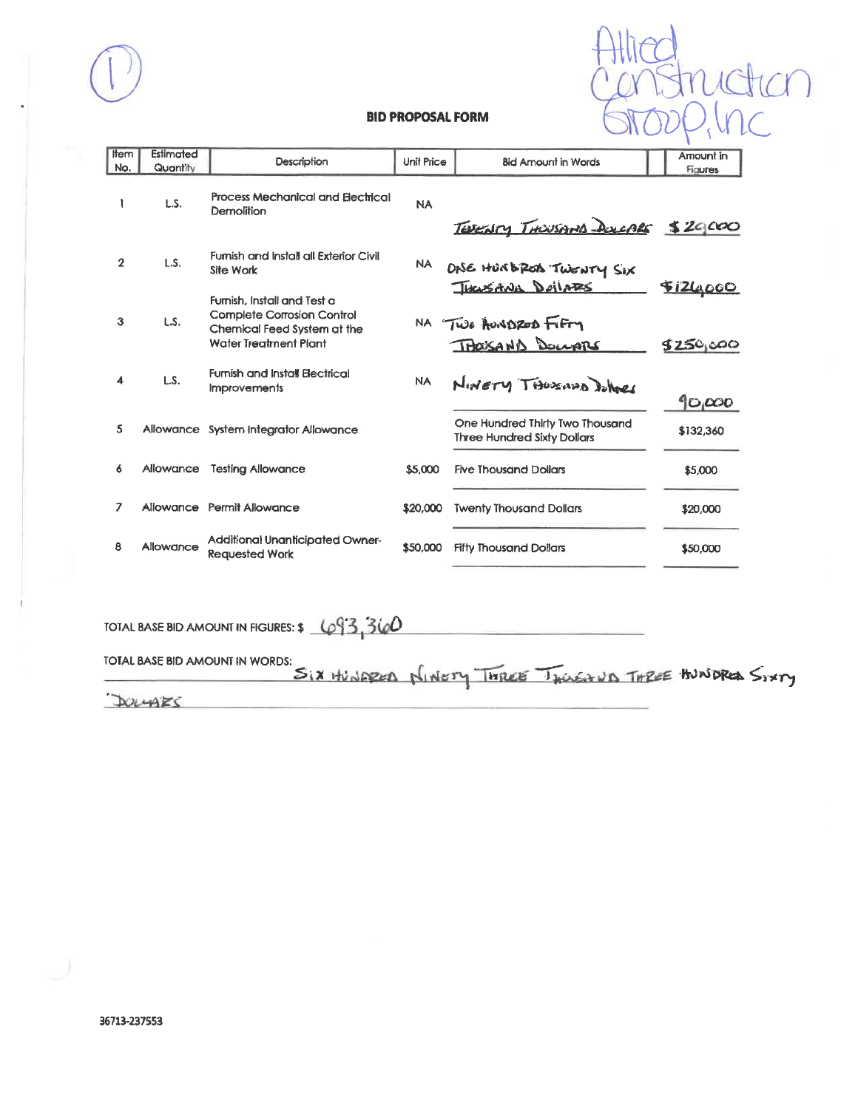

| Item<br>No.    | Estimated<br>Quantity | Description                                                                                                                     | Unit Price | <b>Bid Amount in Words</b>                                            | Amount in<br><b>Figures</b>  |
|----------------|-----------------------|---------------------------------------------------------------------------------------------------------------------------------|------------|-----------------------------------------------------------------------|------------------------------|
|                | L.S.                  | <b>Process Mechanical and Electrical</b><br>Demolition                                                                          | <b>NA</b>  | TEDENTY THOUSAND DOLLARS \$29,000                                     |                              |
| $\overline{2}$ | L.S.                  | Furnish and Install all Exterior Civil<br>Site Work                                                                             | NA.        | DNE HURBROA TWENTY SIX                                                |                              |
| 3              | LS.                   | Furnish, Install and Test a<br><b>Complete Corrosion Control</b><br>Chemical Feed System at the<br><b>Water Treatment Plant</b> |            | THOUSANN DOLLARS<br>NA TWO AUNDRED FIFTY<br>THOUSAND DOLLARS          | <u>FIZLOOOO</u><br>\$250,000 |
| 4              | L.S.                  | <b>Furnish and Install Electrical</b><br><b>Improvements</b>                                                                    | <b>NA</b>  | NINETY THOSAND DONNES                                                 | 90,000                       |
| 5              |                       | Allowance System Integrator Allowance                                                                                           |            | One Hundred Thirty Two Thousand<br><b>Three Hundred Sixty Dollars</b> | \$132,360                    |
| 6              | Allowance             | <b>Testing Allowance</b>                                                                                                        | \$5,000    | <b>Five Thousand Dollars</b>                                          | \$5,000                      |
| 7              |                       | Allowance Permit Allowance                                                                                                      | \$20,000   | <b>Twenty Thousand Dollars</b>                                        | \$20,000                     |
| ß              | Allowance             | Additional Unanticipated Owner-<br><b>Requested Work</b>                                                                        | \$50,000   | <b>Fifty Thousand Dollars</b>                                         | \$50,000                     |

TOTAL BASE BID AMOUNT IN FIGURES:  $\frac{1093.360}{100}$ 

TOTAL BASE BID AMOUNT IN WORDS:<br>SIX HUNDRED NINETY THREE TWIEVAND THREE HUNDRED SIXTY DOLLARS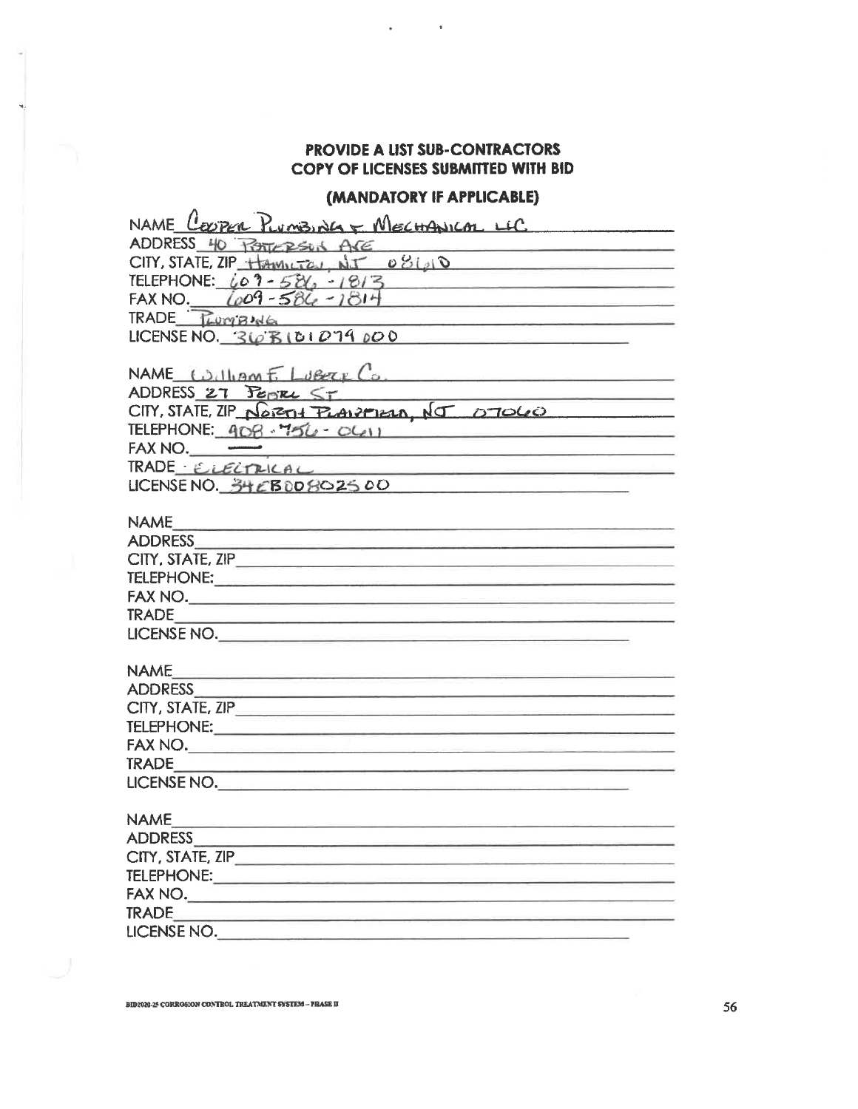$\,$ 

 $\ddot{\phantom{a}}$ 

## (MANDATORY IF APPLICABLE)

| NAME COOPER PLUMBING & MECHANICAL LLC                                                                           |
|-----------------------------------------------------------------------------------------------------------------|
| ADDRESS 40 POSTERSON ARE                                                                                        |
| CITY, STATE, ZIP HAMILTEN, NJ 081010                                                                            |
| TELEPHONE: $609 - 586 - 1813$                                                                                   |
| FAX NO. $(009 - 586 - 1814)$                                                                                    |
| $TRADE$ $Twmgw6$<br><u> 1989 - Johann Harry Harry Harry Harry Communication (</u>                               |
| LICENSE NO. $36810107900$                                                                                       |
|                                                                                                                 |
| NAME William $E$ Lubere Co.                                                                                     |
|                                                                                                                 |
| ADDRESS 27 PEPTEL ST<br>CITY, STATE, ZIP NORTH PLANPIELA, NJ 07060                                              |
| TELEPHONE: 408-756 OLII                                                                                         |
| $FAX NO. \underline{\hspace{2cm}}$                                                                              |
| TRADE ELECTRICAL                                                                                                |
| LICENSE NO. 34 EBOD802500<br>the control of the control of the control of the control of the control of         |
|                                                                                                                 |
|                                                                                                                 |
|                                                                                                                 |
|                                                                                                                 |
|                                                                                                                 |
| FAX NO.                                                                                                         |
|                                                                                                                 |
| LICENSE NO.                                                                                                     |
|                                                                                                                 |
| <b>NAME</b><br><u> The Control of the Control of the Control of the School of the Control of the Control of</u> |
| ADDRESS ADDRESS                                                                                                 |
| CITY, STATE, ZIP                                                                                                |
|                                                                                                                 |
|                                                                                                                 |
|                                                                                                                 |
| LICENSE NO.                                                                                                     |
|                                                                                                                 |
| <b>NAME</b>                                                                                                     |
|                                                                                                                 |
|                                                                                                                 |
|                                                                                                                 |
|                                                                                                                 |
| TRADE <b>TRADE</b>                                                                                              |
| LICENSE NO.                                                                                                     |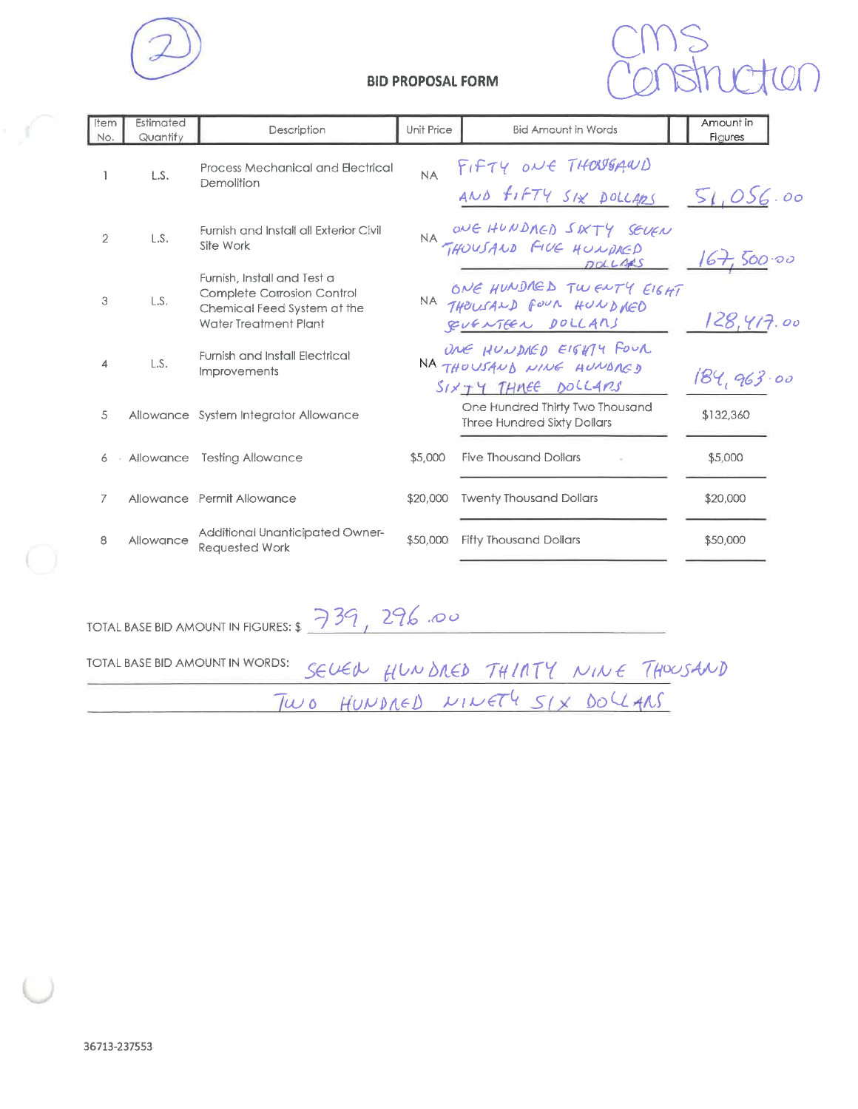



| item<br>No.    | Estimated<br>Quantity | Description                                                                                                       | Unit Price | <b>Bid Amount in Words</b>                                                 | Amount in<br>Figures |
|----------------|-----------------------|-------------------------------------------------------------------------------------------------------------------|------------|----------------------------------------------------------------------------|----------------------|
| ı              | L.S.                  | <b>Process Mechanical and Electrical</b><br>Demolition                                                            | NA         | TIFTY ONE THOUGAWD<br>AND FIFTY SIX DOLLARS                                | 51,056.00            |
| $\overline{2}$ | L.S.                  | <b>Furnish and Install all Exterior Civil</b><br>Site Work                                                        |            | NA ONE HUNDRED SIXTY SEVEN<br>DOLLAAS                                      | 500.00               |
| 3              | L.S.                  | Furnish, Install and Test a<br>Complete Corrosion Control<br>Chemical Feed System at the<br>Water Treatment Plant |            | ONE HUNDRED TWENTY EIGHT<br>RUFNTEEN DOLLARS                               | 128,417.00           |
| 4              | LS.                   | <b>Furnish and Install Electrical</b><br><b>Improvements</b>                                                      |            | ONE HUNDIED EIGHTY FOUR<br>NA THOUSAUD NINE HUNDAGD<br>SIXTY THREE DOLLARS | 184,963.00           |
| 5              |                       | Allowance System Integrator Allowance                                                                             |            | One Hundred Thirty Two Thousand<br><b>Three Hundred Sixty Dollars</b>      | \$132,360            |
| 6              |                       | Allowance Testing Allowance                                                                                       | \$5,000    | <b>Five Thousand Dollars</b>                                               | \$5,000              |
| 7              |                       | Allowance Permit Allowance                                                                                        | \$20,000   | <b>Twenty Thousand Dollars</b>                                             | \$20,000             |
| 8              | Allowance             | Additional Unanticipated Owner-<br><b>Requested Work</b>                                                          | \$50,000   | <b>Fifty Thousand Dollars</b>                                              | \$50,000             |

TOTAL BASE BID AMOUNT IN FIGURES:  $\frac{739}{296}$  296.00

TOTAL BASE BID AMOUNT IN WORDS: SEVEN HUNDRED THINTY NINE THOUSAND

∩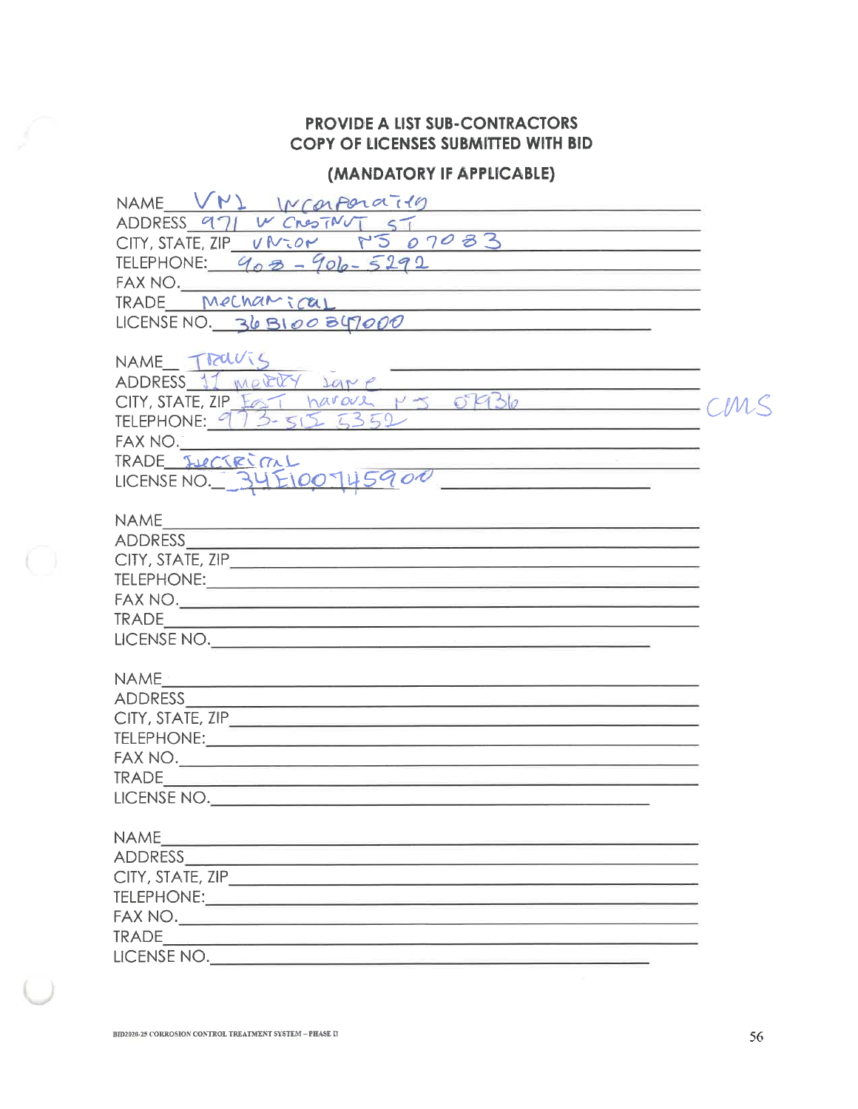# (MANDATORY IF APPLICABLE)

| NAME VN1 INCORPORATIO<br><u> 1989 - Antonio Alemania, matematika presidente (</u>                                                                   |  |
|-----------------------------------------------------------------------------------------------------------------------------------------------------|--|
| ADDRESS 971 W CROSTNUT ST                                                                                                                           |  |
| 07083<br>CITY, STATE, ZIP VNtor                                                                                                                     |  |
| TELEPHONE: $908 - 906 - 5292$                                                                                                                       |  |
|                                                                                                                                                     |  |
| FAX NO.<br>TRADE Mechamical<br><u> 1980 - John Harrison, mars eta bat eta politika</u>                                                              |  |
| <u> 2000 - Jan Bernard Barn, amerikan bernama pada 2000 - personal personal personal personal personal personal p</u><br>LICENSE NO. 36 B100 347000 |  |
|                                                                                                                                                     |  |
| NAME TROUTS                                                                                                                                         |  |
| <u> 1989 - Jan Berlin, mars ar yn y brenin y brenin y brenin y brenin y brenin y brenin y brenin y brenin y breni</u><br>ADDRESS 11 merry sare      |  |
| ADDRESS 11 metally same<br>CITY, STATE, ZIP EG Tharover M J OFB6                                                                                    |  |
| TELEPHONE: 973-515 5352                                                                                                                             |  |
| FAX NO.                                                                                                                                             |  |
| <u> 1980 - Jan James James Jan James James Jan James James Jan James James Jan James James Jan James James Jan Ja</u><br>TRADE JUCTRIML             |  |
| TRADE SUCTRIAL<br>LICENSE NO. 34 E100745900                                                                                                         |  |
|                                                                                                                                                     |  |
| <b>NAME</b>                                                                                                                                         |  |
|                                                                                                                                                     |  |
|                                                                                                                                                     |  |
|                                                                                                                                                     |  |
|                                                                                                                                                     |  |
|                                                                                                                                                     |  |
| LICENSE NO.                                                                                                                                         |  |
|                                                                                                                                                     |  |
|                                                                                                                                                     |  |
|                                                                                                                                                     |  |
| CITY, STATE, ZIP                                                                                                                                    |  |
|                                                                                                                                                     |  |
|                                                                                                                                                     |  |
|                                                                                                                                                     |  |
| LICENSE NO.                                                                                                                                         |  |
|                                                                                                                                                     |  |
| <b>NAME</b><br><u> The Common School (1989) - Common School (1989) - Common School (1989) - Common School (1989)</u>                                |  |
|                                                                                                                                                     |  |
|                                                                                                                                                     |  |
|                                                                                                                                                     |  |
|                                                                                                                                                     |  |
|                                                                                                                                                     |  |
| LICENSE NO.                                                                                                                                         |  |
|                                                                                                                                                     |  |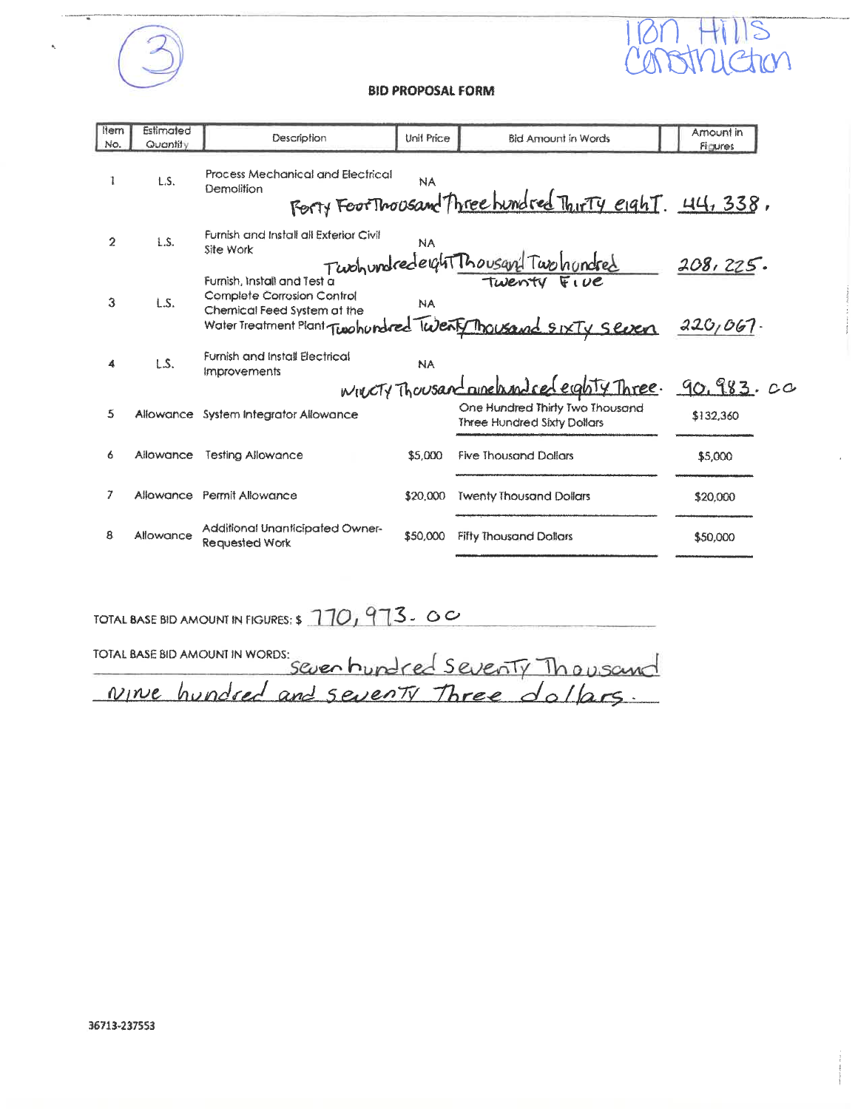

1780 Hills<br>Censtruction

| <b>Item</b> | Estimated | Description                                                                              | Unit Price | <b>Bid Amount in Words</b>                                            | Amount in      |
|-------------|-----------|------------------------------------------------------------------------------------------|------------|-----------------------------------------------------------------------|----------------|
| No.         | Quantity  |                                                                                          |            |                                                                       | <b>Figures</b> |
|             | L.S.      | Process Mechanical and Electrical<br>Demolition                                          | NA         | Forty Foot Thousand Three hundred Thirty eight. 44, 338,              |                |
| 2           | LS.       | Furnish and Install all Exterior Civil<br>Site Work                                      | <b>NA</b>  | Twohundrederght Thousand Two hundred                                  | 208, 225.      |
| 3           | L.S.      | Furnish, Install and Test a<br>Complete Corrosion Control<br>Chemical Feed System at the | <b>NA</b>  | Water Treatment Plant Twohundred Twenty Thousand SIXTY Seven          | 220,067        |
|             | LS.       | Furnish and Install Electrical<br>Improvements                                           | <b>NA</b>  | WWCTY Thousand numelassing certainly Three. 90, 983. 00               |                |
|             |           |                                                                                          |            |                                                                       |                |
| 5           | Allowance | <b>System Integrator Allowance</b>                                                       |            | One Hundred Thirty Two Thousand<br><b>Three Hundred Sixty Dollars</b> | \$132,360      |
| 6           | Allowance | <b>Testing Allowance</b>                                                                 | \$5,000    | <b>Five Thousand Dollars</b>                                          | \$5,000        |
| 7           |           | Allowance Permit Allowance                                                               | \$20,000   | <b>Twenty Thousand Dollars</b>                                        | \$20,000       |
| 8           | Allowance | Additional Unanticipated Owner-<br><b>Requested Work</b>                                 | \$50,000   | <b>Fifty Thousand Dollars</b>                                         | \$50,000       |

TOTAL BASE BID AMOUNT IN FIGURES: \$ 170, 973. 00

| FOTAL BASE BID AMOUNT IN WORDS:<br>Seven hundred Seventy Thousand |  |
|-------------------------------------------------------------------|--|
| Nine hundred and sevents Three dollars.                           |  |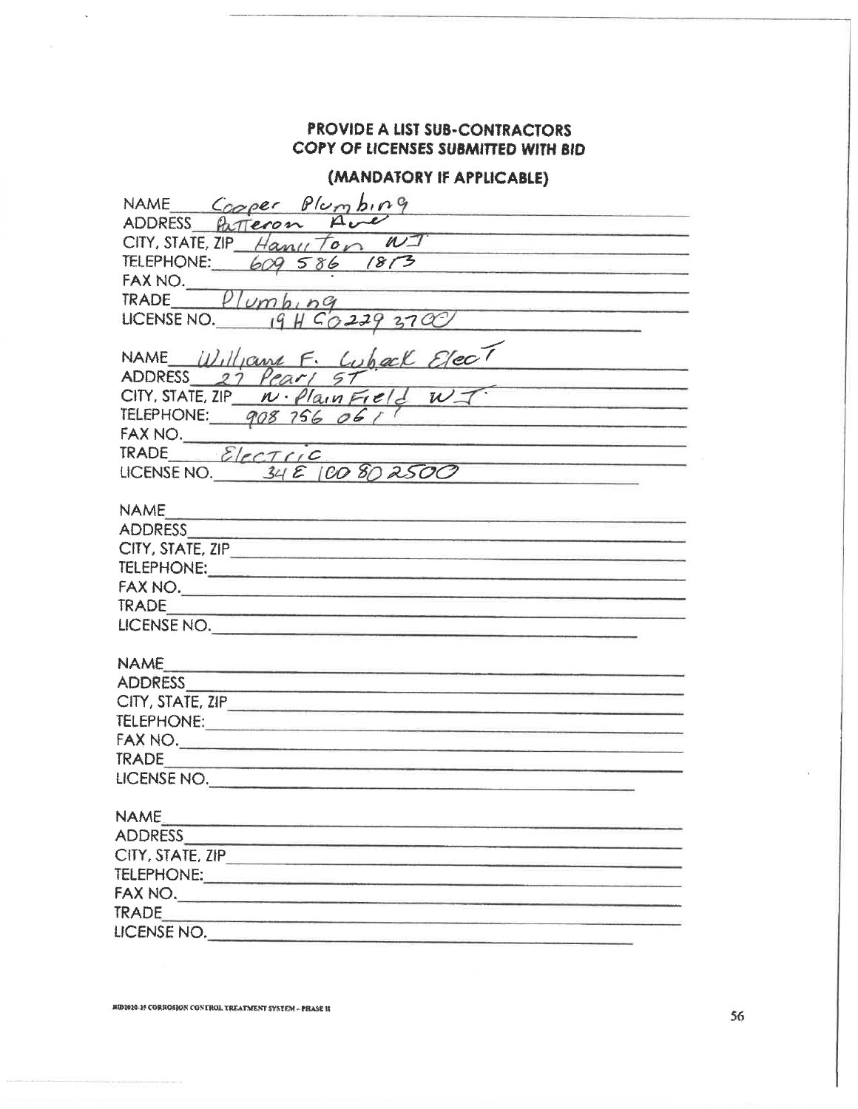## (MANDATORY IF APPLICABLE)

| NAME Cooper Plumbing                                                                                                                                                                                                                          |
|-----------------------------------------------------------------------------------------------------------------------------------------------------------------------------------------------------------------------------------------------|
| ADDRESS Patteron                                                                                                                                                                                                                              |
| $CITY$ , STATE, ZIP Hany Ton<br>$\mathbb{N}$<br>the company of the company of the                                                                                                                                                             |
| TELEPHONE: 609 586 1813                                                                                                                                                                                                                       |
|                                                                                                                                                                                                                                               |
| FAX NO $Plvmb_1nq$<br><b>The company of the company's company's company's and the company's company's company's company's company's company's</b>                                                                                             |
| LICENSE NO. $19 H 602293700$                                                                                                                                                                                                                  |
|                                                                                                                                                                                                                                               |
| NAME Williams F. Lubeck Elect                                                                                                                                                                                                                 |
|                                                                                                                                                                                                                                               |
| CITY, STATE, ZIP $N \cdot \rho/a_{\text{v}}$ Field $N =$                                                                                                                                                                                      |
| TELEPHONE: 908 756 061                                                                                                                                                                                                                        |
|                                                                                                                                                                                                                                               |
| FAX NO.<br>TRADE <i>Electric</i><br><u> The Common Street and Common Street and Common Street and Common Street and Common Street and Common Street and</u>                                                                                   |
| LICENSE NO. $34E100802500$                                                                                                                                                                                                                    |
|                                                                                                                                                                                                                                               |
| <b>NAME</b><br>and the complete state of the complete state of the complete state of the complete state of the complete state of the complete state of the complete state of the complete state of the complete state of the complete state o |
|                                                                                                                                                                                                                                               |
|                                                                                                                                                                                                                                               |
|                                                                                                                                                                                                                                               |
|                                                                                                                                                                                                                                               |
|                                                                                                                                                                                                                                               |
| LICENSE NO.                                                                                                                                                                                                                                   |
|                                                                                                                                                                                                                                               |
| <b>NAME</b><br><u> Transport i de la provincia de la provincia de la provincia de la provincia de la provincia de la provincia d</u>                                                                                                          |
|                                                                                                                                                                                                                                               |
|                                                                                                                                                                                                                                               |
|                                                                                                                                                                                                                                               |
|                                                                                                                                                                                                                                               |
|                                                                                                                                                                                                                                               |
| LICENSE NO.                                                                                                                                                                                                                                   |
|                                                                                                                                                                                                                                               |
| <b>NAME</b>                                                                                                                                                                                                                                   |
| <b>ADDRESS</b>                                                                                                                                                                                                                                |
| CITY, STATE, ZIP                                                                                                                                                                                                                              |
|                                                                                                                                                                                                                                               |
| FAX NO.                                                                                                                                                                                                                                       |
|                                                                                                                                                                                                                                               |
| LICENSE NO.                                                                                                                                                                                                                                   |

i,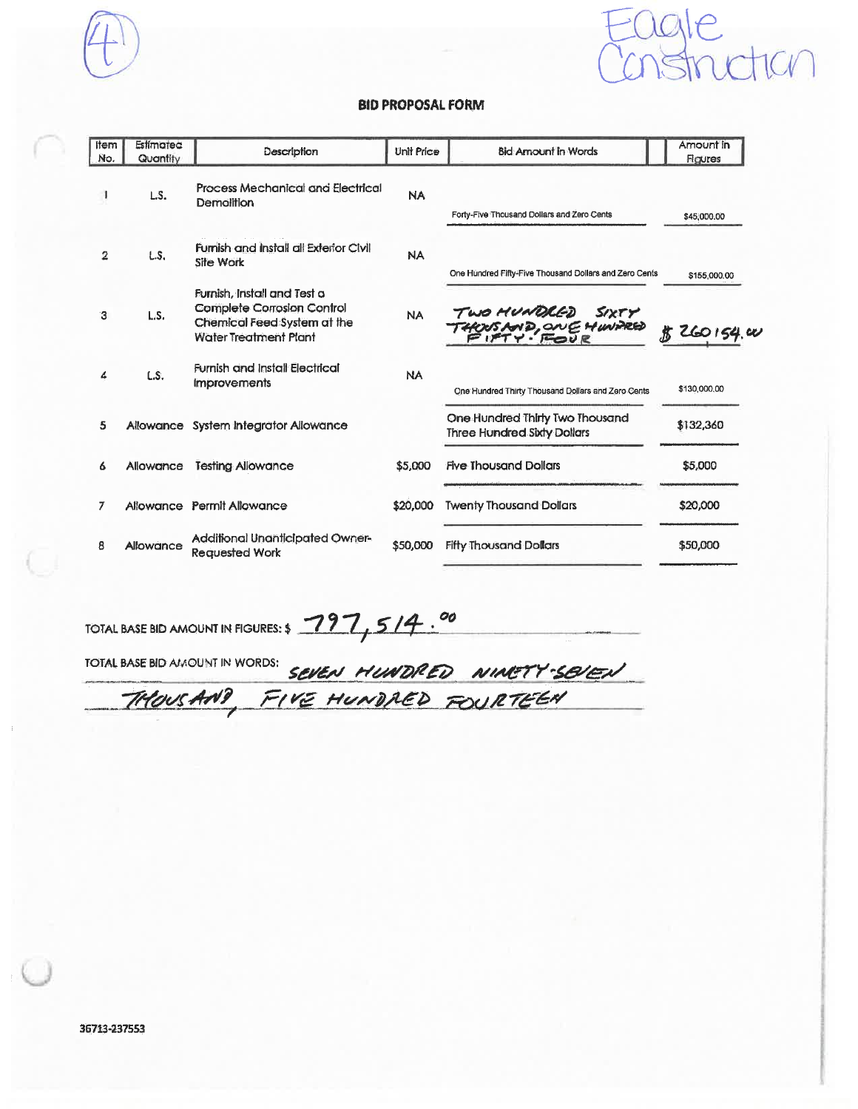n.



#### **BID PROPOSAL FORM**

| <b>Item</b><br>No. | Estimated<br>Quantity | Description                                                                                                                     | <b>Unit Price</b> | <b>Bid: Amount in Words</b>                                           | Amount in<br>Figures |
|--------------------|-----------------------|---------------------------------------------------------------------------------------------------------------------------------|-------------------|-----------------------------------------------------------------------|----------------------|
|                    | LS.                   | Process Mechanical and Electrical<br>Demolition                                                                                 | <b>NA</b>         | Forty-Five Thousand Dollars and Zero Cents                            | \$45,000.00          |
| 2                  | L.S.                  | <b>Furnish and Install all Exterior Civil</b><br>Site Work                                                                      | <b>NA</b>         | One Hundred Fifty-Five Thousand Dollars and Zero Cents                | \$155,000.00         |
| з                  | LS.                   | Furnish, Install and Test a<br><b>Complete Corrosion Control</b><br>Chemical Feed System at the<br><b>Water Treatment Plant</b> | <b>NA</b>         | TWO MUNDLED SIXTY<br>THOUS AND, ONE HUNDRED<br>FIFTY - FOUR           | <b>背 260154.00</b>   |
|                    | L.S.                  | <b>Furnish and Install Electrical</b><br><b>Improvements</b>                                                                    | <b>NA</b>         | One Hundred Thirty Thousand Dollars and Zero Cents                    | \$130,000,00         |
| 5                  |                       | Allowance System Integrator Allowance                                                                                           |                   | One Hundred Thirty Two Thousand<br><b>Three Hundred Sixty Dollars</b> | \$132,360            |
| 6                  | Allowance             | <b>Testing Allowance</b>                                                                                                        | \$5,000           | <b>Five Thousand Dollars</b>                                          | \$5,000              |
| 7                  |                       | Allowance Permit Allowance                                                                                                      | \$20,000          | <b>Twenty Thousand Dollars</b>                                        | \$20,000             |
| 8                  | Allowance             | Additional Unanticipated Owner-<br><b>Requested Work</b>                                                                        | \$50,000          | <b>Fifty Thousand Dollars</b>                                         | \$50,000             |

TOTAL BASE BID AMOUNT IN FIGURES: \$ 797,514.00

| TOTAL BASE BID AMOUNT IN WORDS: |  | SEVEN MUNDRED NIMETY-SEVEN |
|---------------------------------|--|----------------------------|
| THOUSAND, FIVE HUNDRED FOURTEEN |  |                            |

 $\left($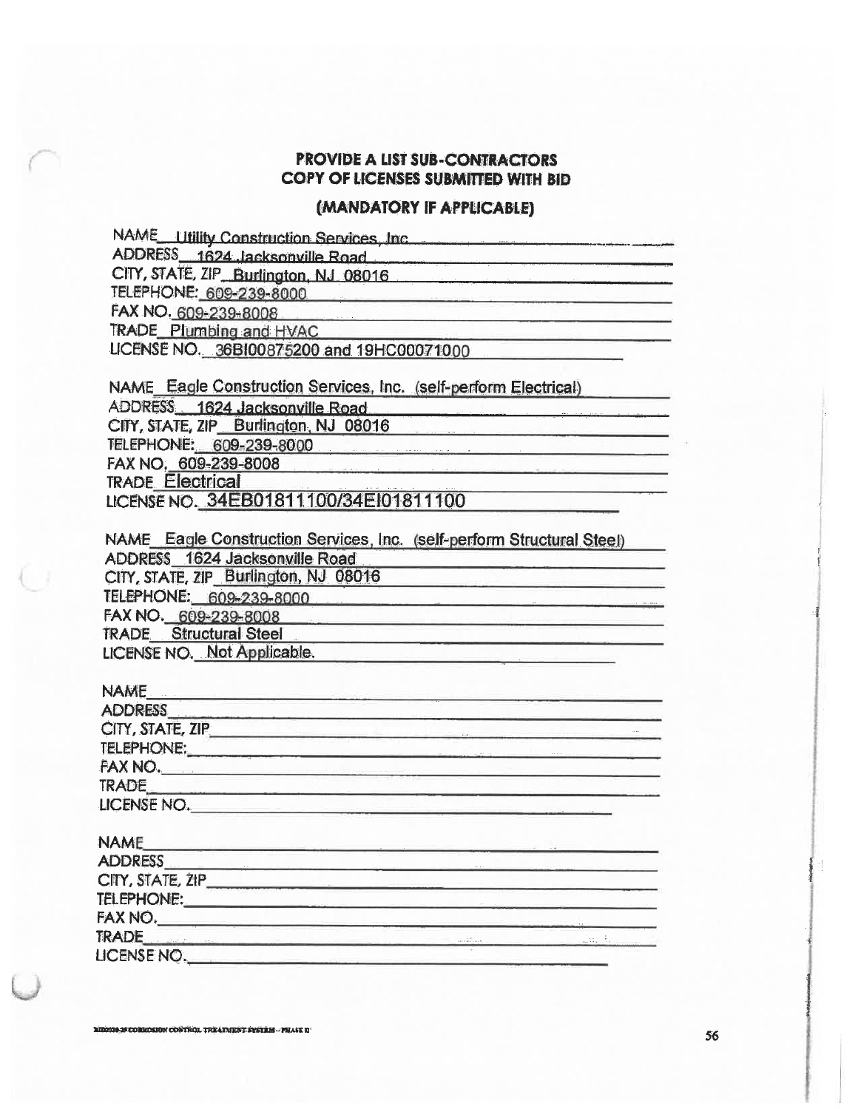### (MANDATORY IF APPLICABLE)

NAME Utility Construction Services, Inc. 2006 2010 11:00:00

ADDRESS 1624 Jacksonville Road

CITY, STATE, ZIP\_Burlington, NJ\_08016

TELEPHONE: 609-239-8000

FAX NO. 609-239-8008

TRADE Plumbing and HVAC

LICENSE NO. 36BI00875200 and 19HC00071000

NAME Eagle Construction Services, Inc. (self-perform Electrical)

ADDRESS 1624 Jacksonville Road

CITY, STATE, ZIP Burlington, NJ 08016

TELEPHONE: 609-239-8000

FAX NO. 609-239-8008

**TRADE Electrical** 

LICENSE NO. 34EB01811100/34E101811100

NAME Eagle Construction Services, Inc. (self-perform Structural Steel) **ADDRESS** 1624 Jacksonville Road

CITY, STATE, ZIP\_Burlington, NJ\_08016

TELEPHONE: 609-239-8000

FAX NO. 609-239-8008

**TRADE** Structural Steel

LICENSE NO. Not Applicable.

#### **NAME**

| ADDRESS<br>CITY, STATE, ZIP |  |
|-----------------------------|--|
| <b>TELEPHONE:</b>           |  |
| FAX NO.                     |  |
|                             |  |
| TRADE<br>LICENSE NO.        |  |

#### **NAME**

| <b>ADDRESS</b>   |                                       |  |
|------------------|---------------------------------------|--|
| CITY, STATE, ZIP |                                       |  |
| TELEPHONE:       |                                       |  |
| FAX NO.          |                                       |  |
| <b>TRADE</b>     | $-1.1111$<br><b>APR 2 818 1 819 1</b> |  |
| LICENSE NO.      |                                       |  |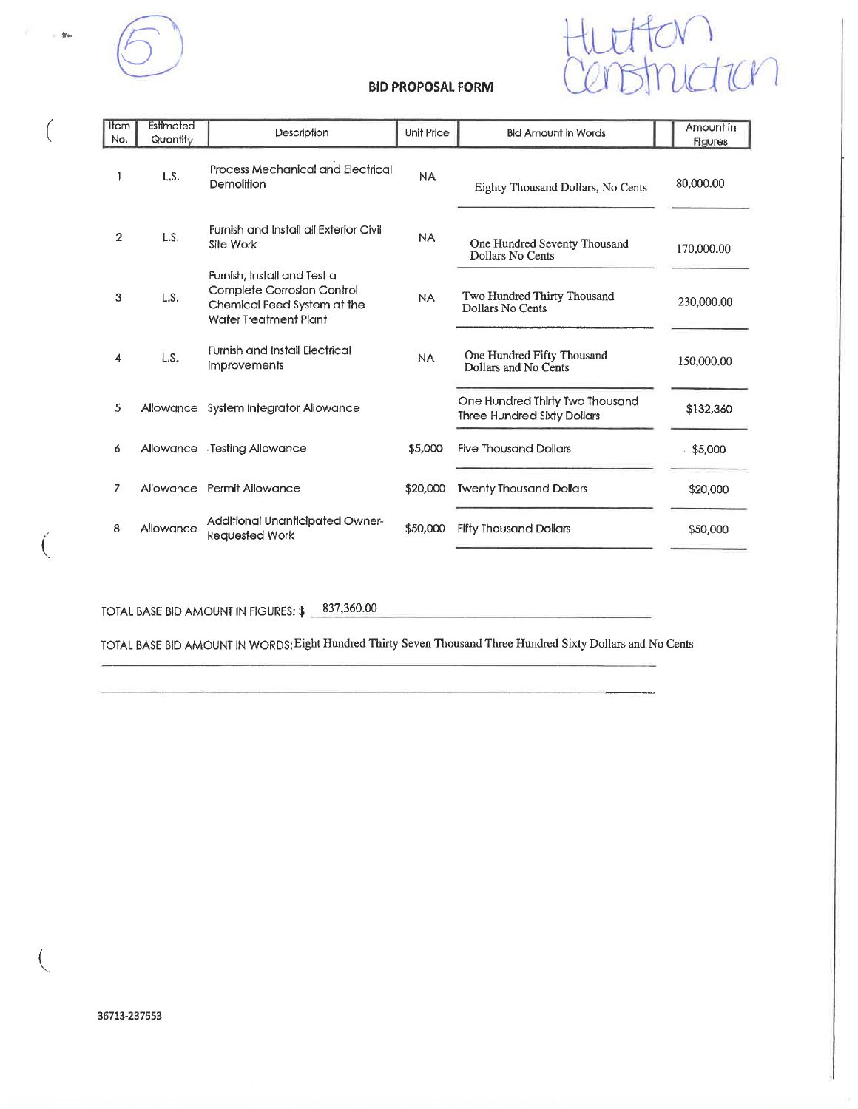

 $\Phi\omega$ 



#### **BID PROPOSAL FORM**

| Item<br>No.    | Estimated<br>Quantity | Description                                                                                                       | Unit Price | <b>Bid Amount in Words</b>                                            | Amount in<br><b>Figures</b> |
|----------------|-----------------------|-------------------------------------------------------------------------------------------------------------------|------------|-----------------------------------------------------------------------|-----------------------------|
|                | L.S.                  | Process Mechanical and Electrical<br>Demolition                                                                   | <b>NA</b>  | Eighty Thousand Dollars, No Cents                                     | 80,000.00                   |
| $\overline{2}$ | L.S.                  | Furnish and install all Exterior Civil<br>Site Work                                                               | <b>NA</b>  | One Hundred Seventy Thousand<br><b>Dollars No Cents</b>               | 170,000.00                  |
| 3              | LS.                   | Furnish, Install and Test a<br>Complete Corrosion Control<br>Chemical Feed System at the<br>Water Treatment Plant | <b>NA</b>  | Two Hundred Thirty Thousand<br>Dollars No Cents                       | 230,000.00                  |
| 4              | L.S.                  | <b>Furnish and Install Electrical</b><br><i><b>Improvements</b></i>                                               | <b>NA</b>  | One Hundred Fifty Thousand<br>Dollars and No Cents                    | 150,000.00                  |
| 5              | Allowance             | System Integrator Allowance                                                                                       |            | One Hundred Thirty Two Thousand<br><b>Three Hundred Sixty Dollars</b> | \$132,360                   |
| 6              |                       | Allowance Testing Allowance                                                                                       | \$5,000    | <b>Five Thousand Dollars</b>                                          | \$5,000                     |
| 7              |                       | Allowance Permit Allowance                                                                                        | \$20,000   | <b>Twenty Thousand Dollars</b>                                        | \$20,000                    |
| 8              | Allowance             | Additional Unanticipated Owner-<br><b>Requested Work</b>                                                          | \$50,000   | <b>Fifty Thousand Dollars</b>                                         | \$50,000                    |

TOTAL BASE BID AMOUNT IN FIGURES: \$ 837,360.00

TOTAL BASE BID AMOUNT IN WORDS: Eight Hundred Thirty Seven Thousand Three Hundred Sixty Dollars and No Cents

€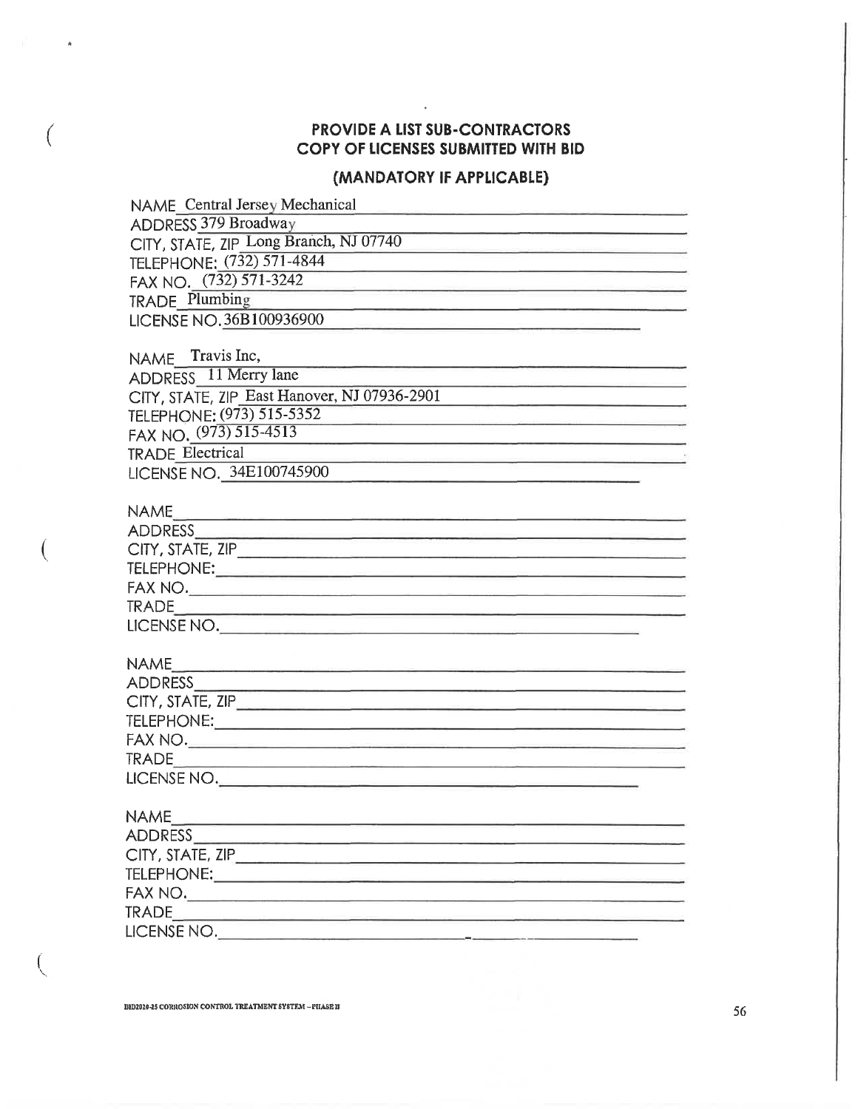## (MANDATORY IF APPLICABLE)

| <b>NAME</b> Central Jersey Mechanical                                                                     |
|-----------------------------------------------------------------------------------------------------------|
| <b>ADDRESS 379 Broadway</b>                                                                               |
| CITY, STATE, ZIP Long Branch, NJ 07740                                                                    |
| TELEPHONE: (732) 571-4844                                                                                 |
| FAX NO. (732) 571-3242                                                                                    |
| <b>TRADE Plumbing</b>                                                                                     |
| LICENSE NO. 36B100936900                                                                                  |
|                                                                                                           |
| NAME Travis Inc,                                                                                          |
| ADDRESS 11 Merry lane                                                                                     |
| CITY, STATE, ZIP_East Hanover, NJ 07936-2901                                                              |
| TELEPHONE: (973) 515-5352                                                                                 |
| FAX NO. (973) 515-4513<br>the contract of the contract of the contract of the contract of the contract of |
| <b>TRADE Electrical</b>                                                                                   |
| LICENSE NO. 34E100745900                                                                                  |
|                                                                                                           |
|                                                                                                           |
|                                                                                                           |
|                                                                                                           |
|                                                                                                           |
|                                                                                                           |
|                                                                                                           |
| LICENSE NO.                                                                                               |
|                                                                                                           |
|                                                                                                           |
|                                                                                                           |
|                                                                                                           |
|                                                                                                           |
| FAX NO.                                                                                                   |
|                                                                                                           |
| LICENSE NO.                                                                                               |
|                                                                                                           |
| <b>NAME</b>                                                                                               |
| ADDRESS_                                                                                                  |
|                                                                                                           |
|                                                                                                           |
|                                                                                                           |
| LICENSE NO.                                                                                               |
|                                                                                                           |

€

 $\hat{A}$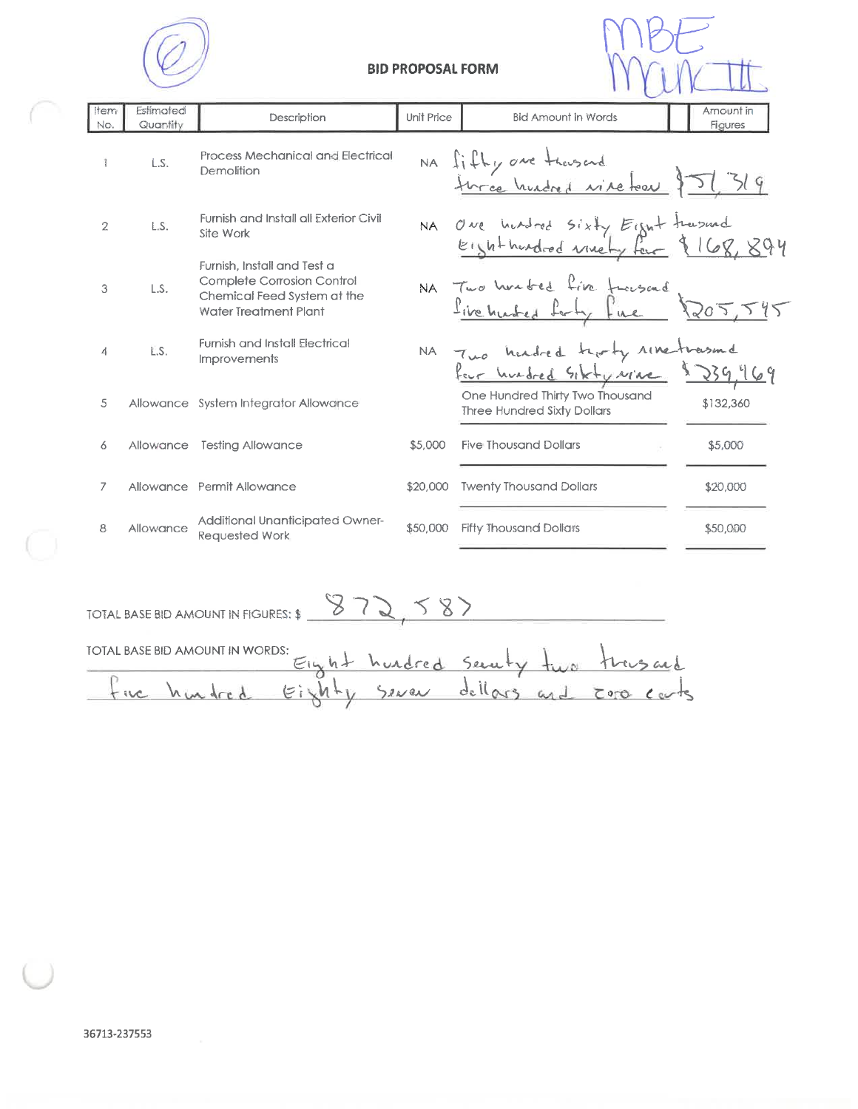



| <b>Item</b><br>No. | Estimated<br>Quantity | Description                                                                                                       | Unit Price | <b>Bid Amount in Words</b>                                               | Amount in<br>Figures |
|--------------------|-----------------------|-------------------------------------------------------------------------------------------------------------------|------------|--------------------------------------------------------------------------|----------------------|
|                    | L.S.                  | <b>Process Mechanical and Electrical</b><br>Demolition                                                            |            | NA fifty are thousand<br>turned hundred vine took \$51,319               |                      |
| $\overline{2}$     | L.S.                  | Furnish and Install all Exterior Civil<br>Site Work                                                               |            | NA One hundred Sixty Eight trasmed<br>Eighthoudred winety four \$168,894 |                      |
| 3                  | L.S.                  | Furnish, Install and Test a<br>Complete Corrosion Control<br>Chemical Feed System at the<br>Water Treatment Plant |            | NA Two harded five funsend                                               | 205,545              |
| 4                  | L.S.                  | <b>Furnish and Install Electrical</b><br><b>Improvements</b>                                                      |            | NA Two headred troty rine-trasmd                                         |                      |
| 5                  |                       | Allowance System Integrator Allowance                                                                             |            | One Hundred Thirty Two Thousand<br><b>Three Hundred Sixty Dollars</b>    | \$132,360            |
| 6                  | Allowance             | <b>Testing Allowance</b>                                                                                          | \$5,000    | <b>Five Thousand Dollars</b>                                             | \$5,000              |
| 7                  |                       | Allowance Permit Allowance                                                                                        | \$20,000   | <b>Twenty Thousand Dollars</b>                                           | \$20,000             |
| 8                  | Allowance             | Additional Unanticipated Owner-<br>Requested Work                                                                 | \$50,000   | <b>Fifty Thousand Dollars</b>                                            | \$50,000             |

TOTAL BASE BID AMOUNT IN FIGURES: \$ 373, 587

| TOTAL BASE BID AMOUNT IN WORDS:                |  |  |                                    |
|------------------------------------------------|--|--|------------------------------------|
|                                                |  |  | Eight hurdred Severty two transand |
| the hundred Eighty Sever dellars and core care |  |  |                                    |
|                                                |  |  |                                    |

Ō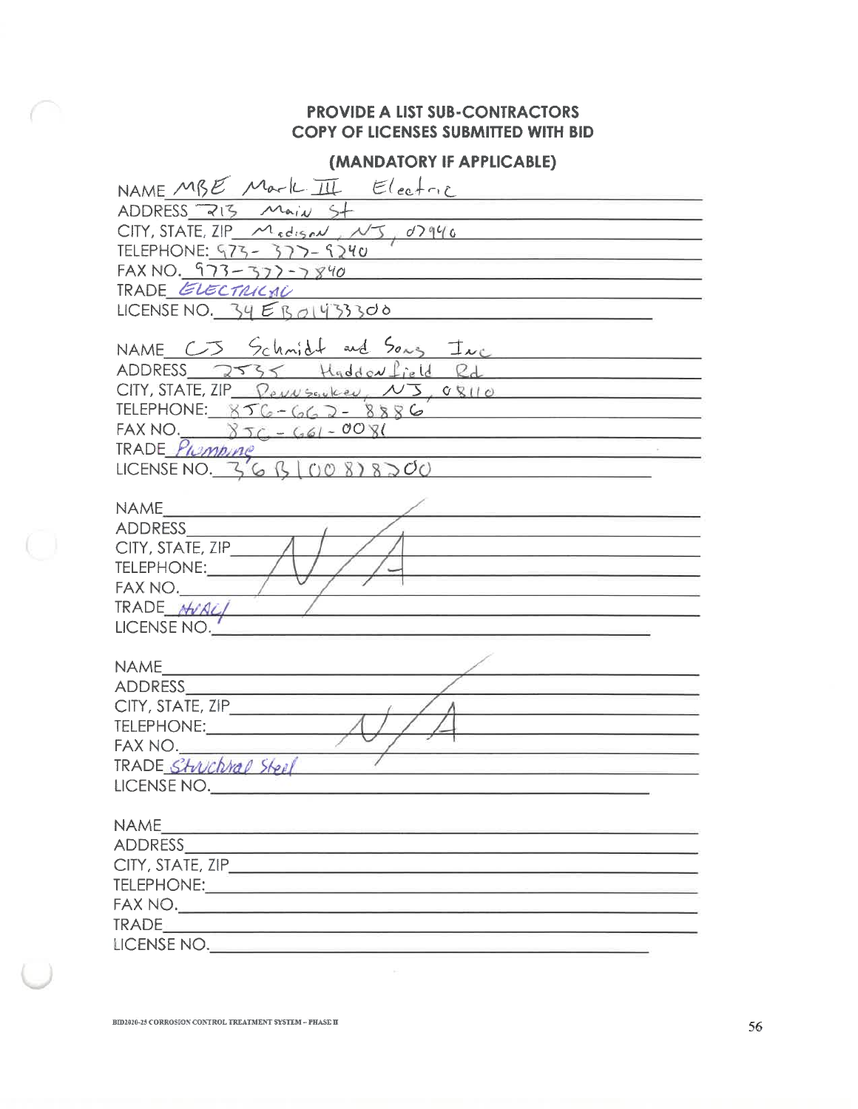## (MANDATORY IF APPLICABLE)

| NAME MBE Mark III Electric<br>ADDRESS 213 Main St                                                                                                                                                                                                                                                                                                                   |
|---------------------------------------------------------------------------------------------------------------------------------------------------------------------------------------------------------------------------------------------------------------------------------------------------------------------------------------------------------------------|
| $CITY$ , STATE, ZIP $M_{redisav} \sim 5$ , $d7946$<br>TELEPHONE: 473-377-4240<br><u> Alexandria de la contrada de la contrada de la contrada de la contrada de la contrada de la contrada de la c</u>                                                                                                                                                               |
| FAX NO. 973-377-7840<br><u> 1980 - Johann Harry Harry Harry Harry Harry Harry Harry Harry Harry Harry Harry Harry Harry Harry Harry Harry Harry Harry Harry Harry Harry Harry Harry Harry Harry Harry Harry Harry Harry Harry Harry Harry Harry Harry Ha</u><br>TRADE ELECTRICAL<br>the contract of the contract of the contract of the contract of the contract of |
| LICENSE NO. $34EBA433300$                                                                                                                                                                                                                                                                                                                                           |
| NAME C3 Schmidt and Song Inc<br>ADDRESS 2535 Haddon field Rd                                                                                                                                                                                                                                                                                                        |
| $CITY$ , STATE, ZIP $\sqrt{e\mu w s_0 e^{\mu w}}$ , $\sqrt{3}$ , $\sigma g_{110}$<br>TELEPHONE: $856 - 662 - 8886$                                                                                                                                                                                                                                                  |
| FAX NO. $8TC - 661 - 0081$<br>TRADE Pumping<br>LICENSE NO. 36 B OO 878200                                                                                                                                                                                                                                                                                           |
| $NAME$ and $A$                                                                                                                                                                                                                                                                                                                                                      |
| ADDRESS<br>CITY, STATE, ZIP<br>TELEPHONE;<br><u> La Carlo Carlo Carlo Carlo Carlo Carlo Carlo Carlo Carlo Carlo Carlo Carlo Carlo Carlo Carlo Carlo Carlo Carlo</u>                                                                                                                                                                                                 |
| FAX NO.<br>TRADE MORCI<br>LICENSE NO.                                                                                                                                                                                                                                                                                                                               |
| NAME<br>ADDRESS AND ARRIVERS AND THE RESIDENCE OF THE RESIDENCE OF THE RESIDENCE OF THE RESIDENCE OF THE RESIDENCE OF THE RESIDENCE OF THE RESIDENCE OF THE RESIDENCE OF THE RESIDENCE OF THE RESIDENCE OF THE RESIDENCE OF THE RESIDE                                                                                                                              |
| CITY, STATE, ZIP<br>TELEPHONE:___________                                                                                                                                                                                                                                                                                                                           |
| FAX NO.<br>TRADE Stuckhal Steel                                                                                                                                                                                                                                                                                                                                     |
| LICENSE NO.                                                                                                                                                                                                                                                                                                                                                         |
| ADDRESS ADDRESS                                                                                                                                                                                                                                                                                                                                                     |
|                                                                                                                                                                                                                                                                                                                                                                     |
|                                                                                                                                                                                                                                                                                                                                                                     |
| LICENSE NO.                                                                                                                                                                                                                                                                                                                                                         |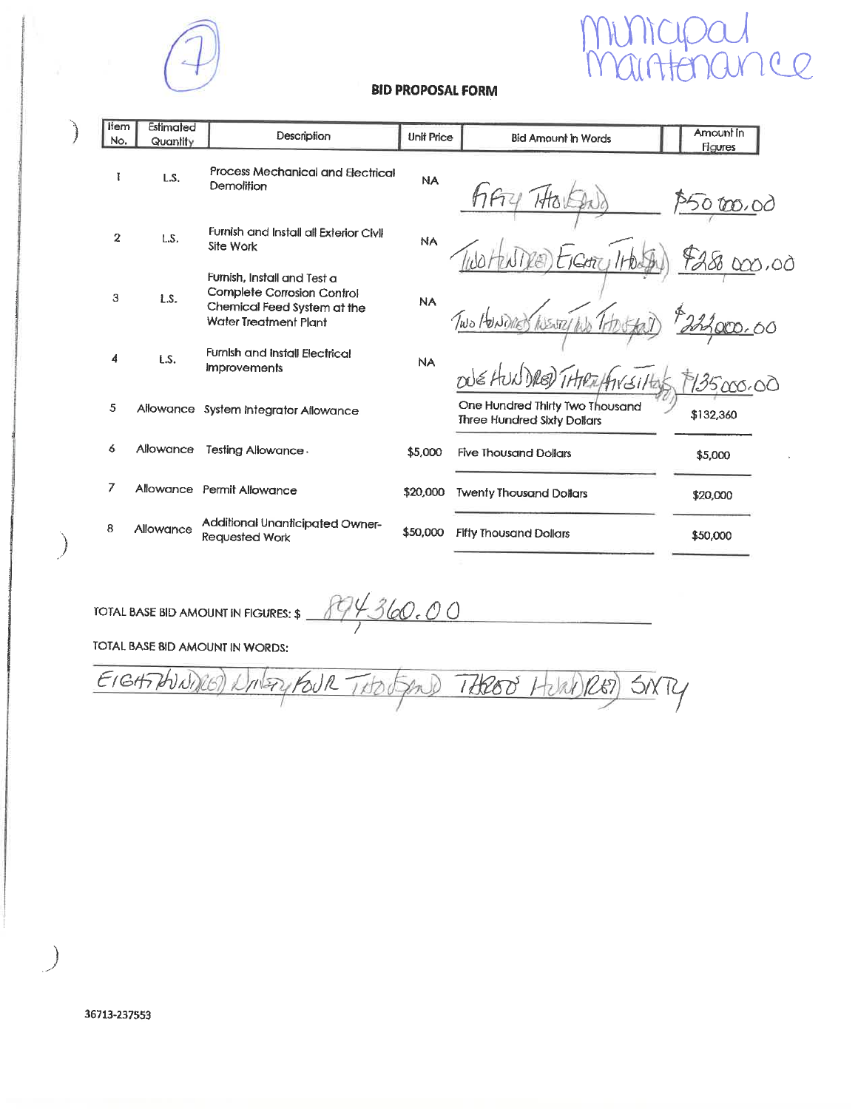

# $\mathcal{C}$  $\overline{O}$

#### **BID PROPOSAL FORM**

| llem<br>No.    | Estimated<br>Quantity | Description                                                                                                              | <b>Unit Price</b> | <b>Bid Amount in Words</b>                                            | Amount In<br>Figures |
|----------------|-----------------------|--------------------------------------------------------------------------------------------------------------------------|-------------------|-----------------------------------------------------------------------|----------------------|
| Ŧ              | LS.                   | Process Mechanical and Electrical<br>Demolition                                                                          | <b>NA</b>         |                                                                       | $\circ$              |
| $\overline{2}$ | L.S.                  | Furnish and Install all Exterior Civil<br>Site Work                                                                      | <b>NA</b>         |                                                                       | 3,0Ò                 |
| 3              | LS.                   | Furnish, Install and Test a<br>Complete Corrosion Control<br>Chemical Feed System at the<br><b>Water Treatment Plant</b> | <b>NA</b>         |                                                                       |                      |
| 4              | LS.                   | Furnish and install Electrical<br><b>Improvements</b>                                                                    | <b>NA</b>         | nus HUNDRED THERIFINSILE                                              | 135000.00            |
| 5              |                       | Allowance System Integrator Allowance                                                                                    |                   | One Hundred Thirty Two Thousand<br><b>Three Hundred Sixty Dollars</b> | \$132,360            |
| 6              | Allowance             | Testing Allowance.                                                                                                       | \$5,000           | <b>Five Thousand Dollars</b>                                          | \$5,000              |
| 7              |                       | Allowance Permit Allowance                                                                                               | \$20,000          | <b>Twenty Thousand Dollars</b>                                        | \$20,000             |
| 8              | Allowance             | Additional Unanticipated Owner-<br>Requested Work                                                                        | \$50,000          | <b>Fifty Thousand Dollars</b>                                         | \$50,000             |
|                |                       |                                                                                                                          |                   |                                                                       |                      |

TOTAL BASE BID AMOUNT IN FIGURES:  $\frac{894360.00}{1}$ 

 $\bigg)$ 

TOTAL BASE BID AMOUNT IN WORDS:

EIGHTHUNNER) Notry FOUR THOUGAND THROOD HURDRED)  $5007$